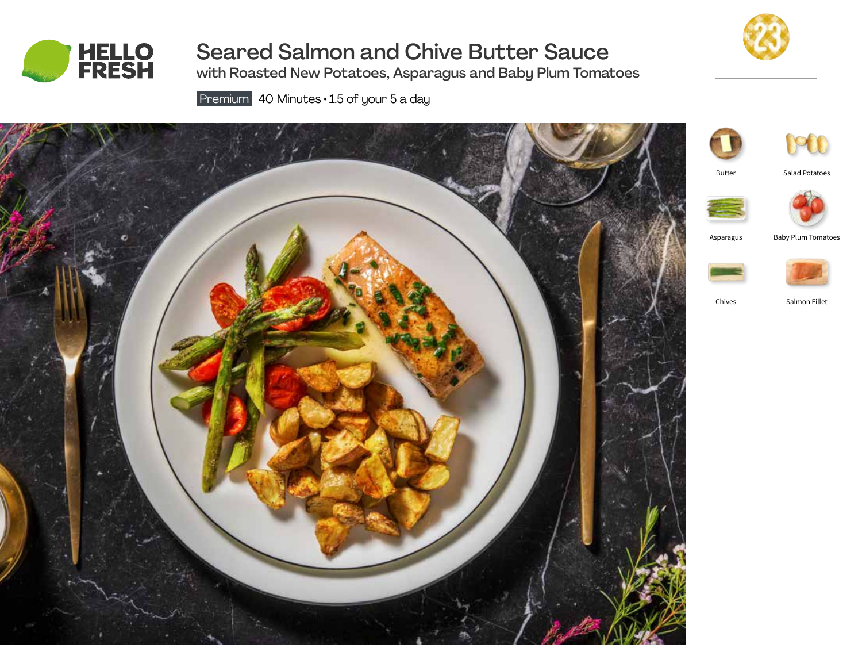

# Seared Salmon and Chive Butter Sauce

with Roasted New Potatoes, Asparagus and Baby Plum Tomatoes

Premium 40 Minutes · 1.5 of your 5 a day





**DO** 

Butter

Salad Potatoes





Asparagus Baby Plum Tomatoes





Chives Salmon Fillet